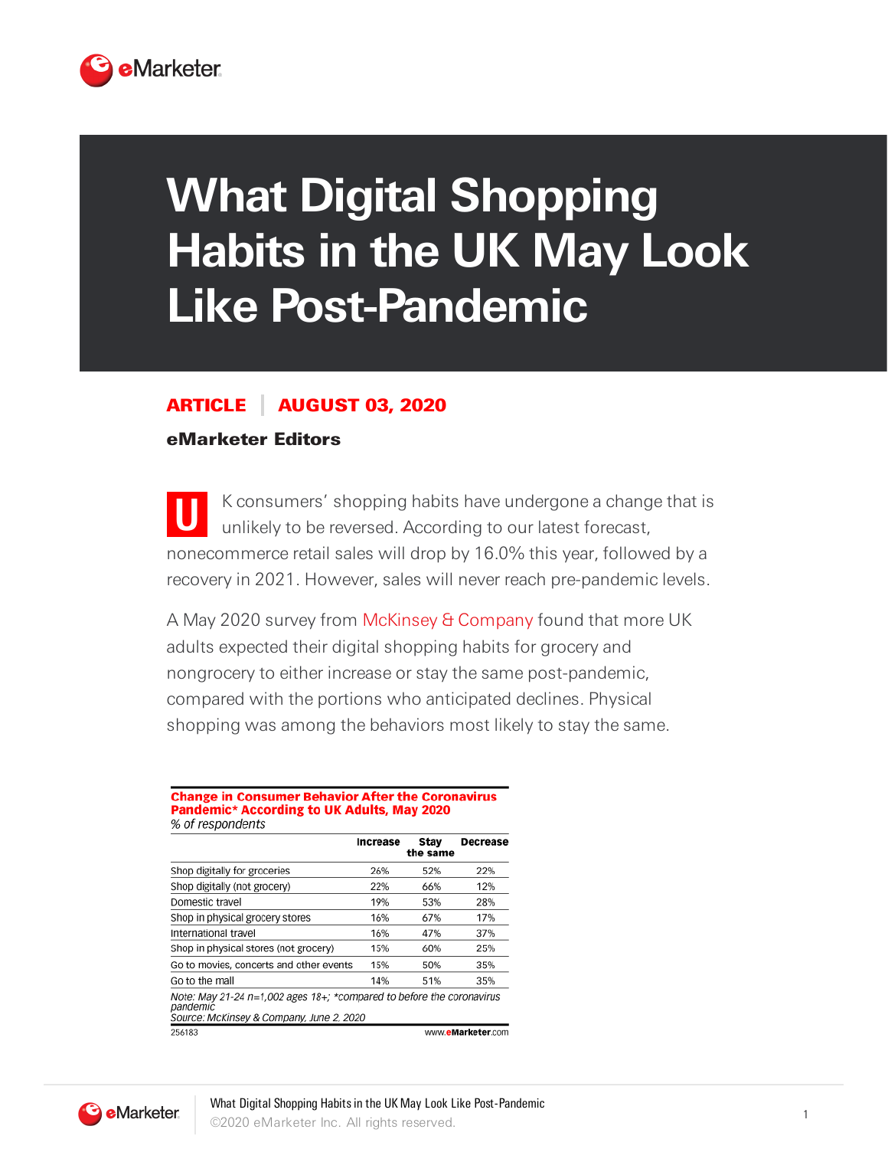

# **What Digital Shopping Habits in the UK May Look Like Post-Pandemic**

## ARTICLE AUGUST 03, 2020

## eMarketer Editors

**U** K consumers' shopping habits have undergone a change that is unlikely to be reversed. According to our latest forecast, nonecommerce retail sales will drop by 16.0% this year, followed by a recovery in 2021. However, sales will never reach pre-pandemic levels.

A May 2020 survey from McKinsey & [Company](https://www.mckinsey.com/) found that more UK adults expected their digital shopping habits for grocery and nongrocery to either increase or stay the same post-pandemic, compared with the portions who anticipated declines. Physical shopping was among the behaviors most likely to stay the same.

### **Change in Consumer Behavior After the Coronavirus** Pandemic\* According to UK Adults, May 2020 % of respondents

|                                                                                                                                 | Increase | Stay<br>the same | Decrease          |
|---------------------------------------------------------------------------------------------------------------------------------|----------|------------------|-------------------|
| Shop digitally for groceries                                                                                                    | 26%      | 52%              | 22%               |
| Shop digitally (not grocery)                                                                                                    | 22%      | 66%              | 12%               |
| Domestic travel                                                                                                                 | 19%      | 53%              | 28%               |
| Shop in physical grocery stores                                                                                                 | 16%      | 67%              | 17%               |
| International travel                                                                                                            | 16%      | 47%              | 37%               |
| Shop in physical stores (not grocery)                                                                                           | 15%      | 60%              | 25%               |
| Go to movies, concerts and other events                                                                                         | 15%      | 50%              | 35%               |
| Go to the mall                                                                                                                  | 14%      | 51%              | 35%               |
| Note: May 21-24 $n=1,002$ ages 18+; *compared to before the coronavirus<br>pandemic<br>Source: McKinsey & Company, June 2, 2020 |          |                  |                   |
| 256183                                                                                                                          |          |                  | www.eMarketer.com |

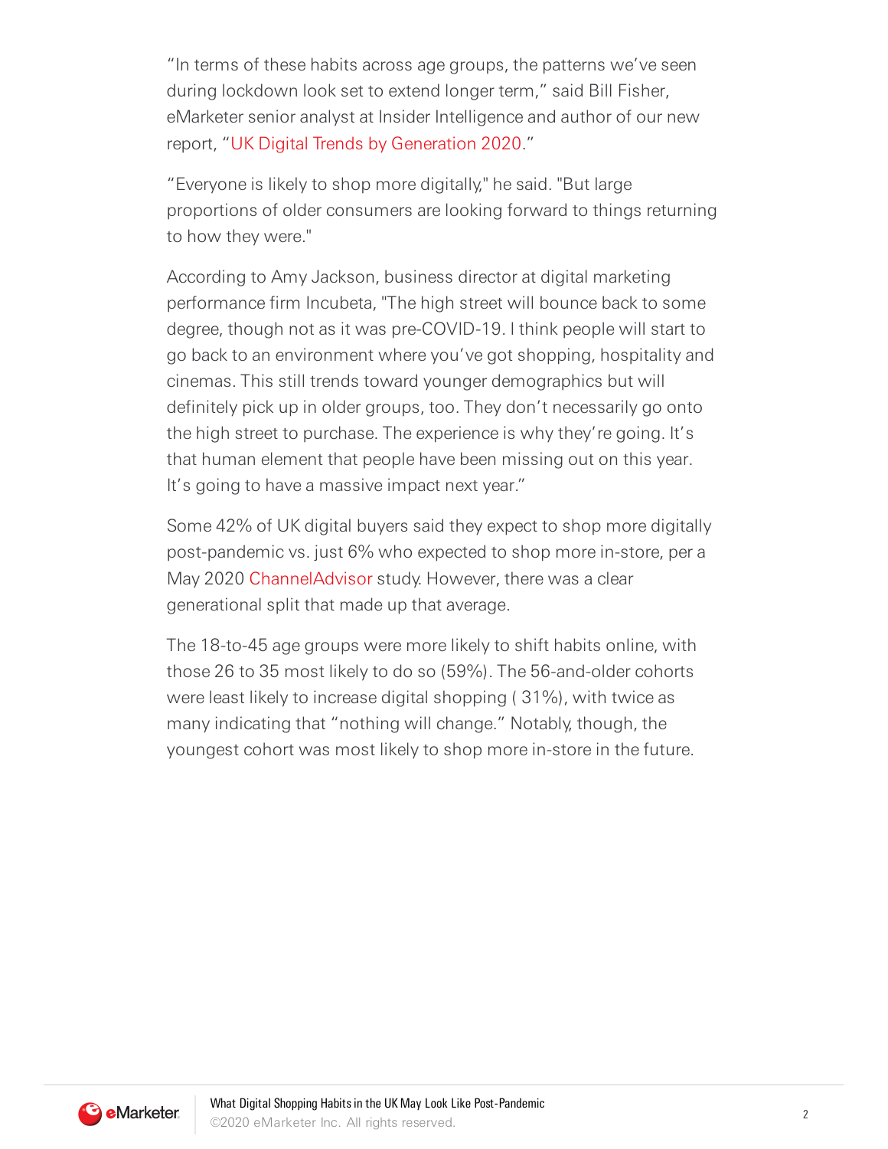"In terms of these habits across age groups, the patterns we've seen during lockdown look set to extend longer term," said Bill Fisher, eMarketer senior analyst at Insider Intelligence and author of our new report, "UK Digital Trends by Generation 2020."

"Everyone is likely to shop more digitally," he said. "But large proportions of older consumers are looking forward to things returning to how they were."

According to Amy Jackson, business director at digital marketing performance firm Incubeta, "The high street will bounce back to some degree, though not as it was pre-COVID-19. I think people will start to go back to an environment where you've got shopping, hospitality and cinemas. This still trends toward younger demographics but will definitely pick up in older groups, too. They don't necessarily go onto the high street to purchase. The experience is why they're going. It's that human element that people have been missing out on this year. It's going to have a massive impact next year."

Some 42% of UK digital buyers said they expect to shop more digitally post-pandemic vs. just 6% who expected to shop more in-store, per a May 2020 [ChannelAdvisor](http://www.channeladvisor.com/) study. However, there was a clear generational split that made up that average.

The 18-to-45 age groups were more likely to shift habits online, with those 26 to 35 most likely to do so (59%). The 56-and-older cohorts were least likely to increase digital shopping ( 31%), with twice as many indicating that "nothing will change." Notably, though, the youngest cohort was most likely to shop more in-store in the future.